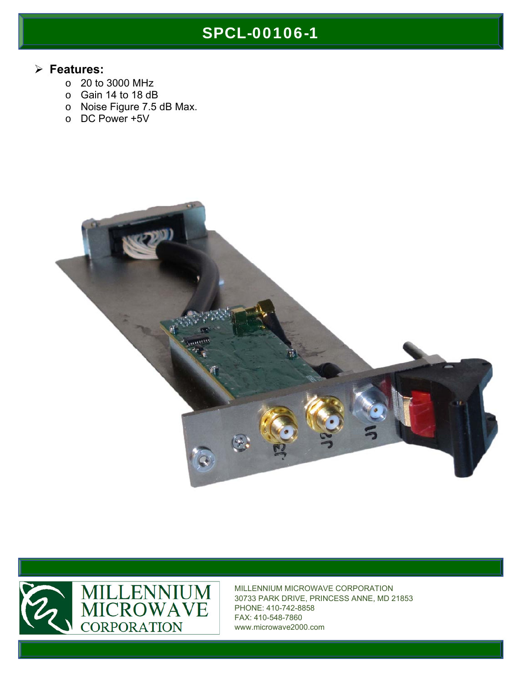## SPCL-00106-1

#### **Features:**

- o 20 to 3000 MHz
- o Gain 14 to 18 dB
- o Noise Figure 7.5 dB Max.
- o DC Power +5V





MILLENNIUM MICROWAVE CORPORATION 30733 PARK DRIVE, PRINCESS ANNE, MD 21853 PHONE: 410-742-8858 FAX: 410-548-7860 www.microwave2000.com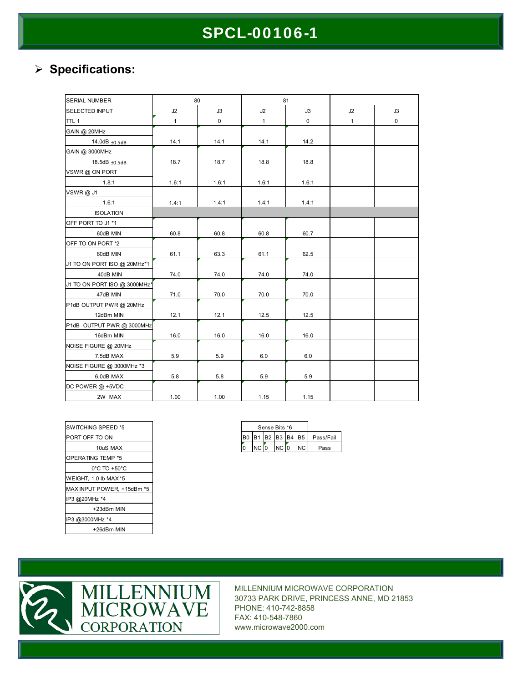## SPCL-00106-1

#### **Specifications:**

| <b>SERIAL NUMBER</b>         |              | 80          | 81           |             |              |    |
|------------------------------|--------------|-------------|--------------|-------------|--------------|----|
| <b>SELECTED INPUT</b>        | J2           | J3          | J2           | J3          | J2           | J3 |
| TTL <sub>1</sub>             | $\mathbf{1}$ | $\mathsf 0$ | $\mathbf{1}$ | $\mathsf 0$ | $\mathbf{1}$ | 0  |
| GAIN @ 20MHz                 |              |             |              |             |              |    |
| 14.0dB +0.5dB                | 14.1         | 14.1        | 14.1         | 14.2        |              |    |
| GAIN @ 3000MHz               |              |             |              |             |              |    |
| 18.5dB ±0.5dB                | 18.7         | 18.7        | 18.8         | 18.8        |              |    |
| VSWR @ ON PORT               |              |             |              |             |              |    |
| 1.8:1                        | 1.6:1        | 1.6:1       | 1.6:1        | 1.6:1       |              |    |
| <b>VSWR@J1</b>               |              |             |              |             |              |    |
| 1.6:1                        | 1.4:1        | 1.4:1       | 1.4:1        | 1.4:1       |              |    |
| <b>ISOLATION</b>             |              |             |              |             |              |    |
| OFF PORT TO J1 *1            |              |             |              |             |              |    |
| 60dB MIN                     | 60.8         | 60.8        | 60.8         | 60.7        |              |    |
| OFF TO ON PORT *2            |              |             |              |             |              |    |
| 60dB MIN                     | 61.1         | 63.3        | 61.1         | 62.5        |              |    |
| J1 TO ON PORT ISO @ 20MHz*1  |              |             |              |             |              |    |
| 40dB MIN                     | 74.0         | 74.0        | 74.0         | 74.0        |              |    |
| J1 TO ON PORT ISO @ 3000MHz* |              |             |              |             |              |    |
| 47dB MIN                     | 71.0         | 70.0        | 70.0         | 70.0        |              |    |
| P1dB OUTPUT PWR @ 20MHz      |              |             |              |             |              |    |
| 12dBm MIN                    | 12.1         | 12.1        | 12.5         | 12.5        |              |    |
| P1dB OUTPUT PWR @ 3000MHz    |              |             |              |             |              |    |
| 16dBm MIN                    | 16.0         | 16.0        | 16.0         | 16.0        |              |    |
| NOISE FIGURE @ 20MHz         |              |             |              |             |              |    |
| 7.5dB MAX                    | 5.9          | 5.9         | 6.0          | 6.0         |              |    |
| NOISE FIGURE @ 3000MHz *3    |              |             |              |             |              |    |
| 6.0dB MAX                    | 5.8          | 5.8         | 5.9          | 5.9         |              |    |
| DC POWER @ +5VDC             |              |             |              |             |              |    |
| 2W MAX                       | 1.00         | 1.00        | 1.15         | 1.15        |              |    |

| SWITCHING SPEED *5                |  |  |  |  |  |
|-----------------------------------|--|--|--|--|--|
| PORT OFF TO ON                    |  |  |  |  |  |
| 10uS MAX                          |  |  |  |  |  |
| OPERATING TEMP *5                 |  |  |  |  |  |
| $0^{\circ}$ C TO +50 $^{\circ}$ C |  |  |  |  |  |
| WEIGHT, 1.0 lb MAX*5              |  |  |  |  |  |
| MAX INPUT POWER, +15dBm *5        |  |  |  |  |  |
| IP3 @20MHz *4                     |  |  |  |  |  |
| +23dBm MIN                        |  |  |  |  |  |
| IP3 @3000MHz *4                   |  |  |  |  |  |
| +26dBm MIN                        |  |  |  |  |  |

| Sense Bits *6 |                   |  |      |  |     |           |
|---------------|-------------------|--|------|--|-----|-----------|
|               | B0 B1 B2 B3 B4 B5 |  |      |  |     | Pass/Fail |
| O             | $NC$ $ 0$         |  | NC 0 |  | NC. | Pass      |



MILLENNIUM MICROWAVE CORPORATION 30733 PARK DRIVE, PRINCESS ANNE, MD 21853 PHONE: 410-742-8858 FAX: 410-548-7860 www.microwave2000.com